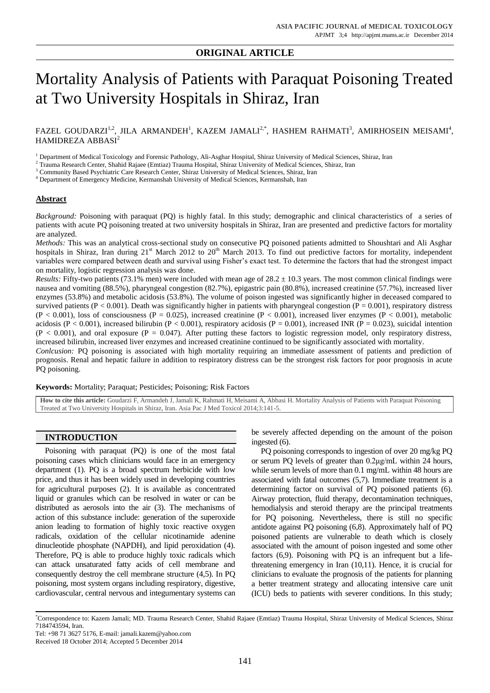# **ORIGINAL ARTICLE**

# Mortality Analysis of Patients with Paraquat Poisoning Treated at Two University Hospitals in Shiraz, Iran

FAZEL GOUDARZI<sup>1,2</sup>, JILA ARMANDEH<sup>1</sup>, KAZEM JAMALI<sup>2,\*</sup>, HASHEM RAHMATI<sup>3</sup>, AMIRHOSEIN MEISAMI<sup>4</sup>, HAMIDREZA ABBASI<sup>2</sup>

<sup>1</sup> Department of Medical Toxicology and Forensic Pathology, Ali-Asghar Hospital, Shiraz University of Medical Sciences, Shiraz, Iran

<sup>2</sup> Trauma Research Center, Shahid Rajaee (Emtiaz) Trauma Hospital, Shiraz University of Medical Sciences, Shiraz, Iran

<sup>3</sup> Community Based Psychiatric Care Research Center, Shiraz University of Medical Sciences, Shiraz, Iran

<sup>4</sup> Department of Emergency Medicine, Kermanshah University of Medical Sciences, Kermanshah, Iran

#### **Abstract**

*Background:* Poisoning with paraquat (PQ) is highly fatal. In this study; demographic and clinical characteristics of a series of patients with acute PQ poisoning treated at two university hospitals in Shiraz, Iran are presented and predictive factors for mortality are analyzed.

*Methods:* This was an analytical cross-sectional study on consecutive PQ poisoned patients admitted to Shoushtari and Ali Asghar hospitals in Shiraz, Iran during  $21<sup>st</sup>$  March 2012 to  $20<sup>th</sup>$  March 2013. To find out predictive factors for mortality, independent variables were compared between death and survival using Fisher's exact test. To determine the factors that had the strongest impact on mortality, logistic regression analysis was done.

*Results:* Fifty-two patients (73.1% men) were included with mean age of  $28.2 \pm 10.3$  years. The most common clinical findings were nausea and vomiting (88.5%), pharyngeal congestion (82.7%), epigastric pain (80.8%), increased creatinine (57.7%), increased liver enzymes (53.8%) and metabolic acidosis (53.8%). The volume of poison ingested was significantly higher in deceased compared to survived patients ( $P < 0.001$ ). Death was significantly higher in patients with pharyngeal congestion ( $P = 0.001$ ), respiratory distress  $(P < 0.001)$ , loss of consciousness  $(P = 0.025)$ , increased creatinine  $(P < 0.001)$ , increased liver enzymes  $(P < 0.001)$ , metabolic acidosis (P < 0.001), increased bilirubin (P < 0.001), respiratory acidosis (P = 0.001), increased INR (P = 0.023), suicidal intention  $(P < 0.001)$ , and oral exposure  $(P = 0.047)$ . After putting these factors to logistic regression model, only respiratory distress, increased bilirubin, increased liver enzymes and increased creatinine continued to be significantly associated with mortality.

*Conlcusion:* PQ poisoning is associated with high mortality requiring an immediate assessment of patients and prediction of prognosis. Renal and hepatic failure in addition to respiratory distress can be the strongest risk factors for poor prognosis in acute PQ poisoning.

**Keywords:** Mortality; Paraquat; Pesticides; Poisoning; Risk Factors

**How to cite this article:** Goudarzi F, Armandeh J, Jamali K, Rahmati H, Meisami A, Abbasi H. Mortality Analysis of Patients with Paraquat Poisoning Treated at Two University Hospitals in Shiraz, Iran. Asia Pac J Med Toxicol 2014;3:141-5.

# **INTRODUCTION**

Poisoning with paraquat (PQ) is one of the most fatal poisoning cases which clinicians would face in an emergency department (1). PQ is a broad spectrum herbicide with low price, and thus it has been widely used in developing countries for agricultural purposes (2). It is available as concentrated liquid or granules which can be resolved in water or can be distributed as aerosols into the air (3). The mechanisms of action of this substance include: generation of the superoxide anion leading to formation of highly toxic reactive oxygen radicals, oxidation of the cellular nicotinamide adenine dinucleotide phosphate (NAPDH), and lipid peroxidation (4). Therefore, PQ is able to produce highly toxic radicals which can attack unsaturated fatty acids of cell membrane and consequently destroy the cell membrane structure (4,5). In PQ poisoning, most system organs including respiratory, digestive, cardiovascular, central nervous and integumentary systems can be severely affected depending on the amount of the poison ingested (6).

PQ poisoning corresponds to ingestion of over 20 mg/kg PQ or serum PQ levels of greater than 0.2μg/mL within 24 hours, while serum levels of more than 0.1 mg/mL within 48 hours are associated with fatal outcomes (5,7). Immediate treatment is a determining factor on survival of PQ poisoned patients (6). Airway protection, fluid therapy, decontamination techniques, hemodialysis and steroid therapy are the principal treatments for PQ poisoning. Nevertheless, there is still no specific antidote against PQ poisoning (6,8). Approximately half of PQ poisoned patients are vulnerable to death which is closely associated with the amount of poison ingested and some other factors (6,9). Poisoning with PQ is an infrequent but a lifethreatening emergency in Iran (10,11). Hence, it is crucial for clinicians to evaluate the prognosis of the patients for planning a better treatment strategy and allocating intensive care unit (ICU) beds to patients with severer conditions. In this study;

<sup>\*</sup>Correspondence to: Kazem Jamali; MD. Trauma Research Center, Shahid Rajaee (Emtiaz) Trauma Hospital, Shiraz University of Medical Sciences, Shiraz 7184743594, Iran.

Tel: +98 71 3627 5176, E-mail: jamali.kazem@yahoo.com

Received 18 October 2014; Accepted 5 December 2014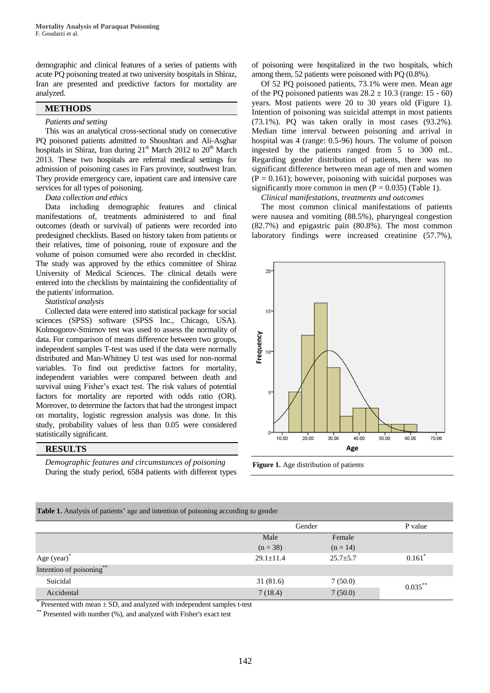demographic and clinical features of a series of patients with acute PQ poisoning treated at two university hospitals in Shiraz, Iran are presented and predictive factors for mortality are analyzed.

# **METHODS**

#### *Patients and setting*

This was an analytical cross-sectional study on consecutive PQ poisoned patients admitted to Shoushtari and Ali-Asghar hospitals in Shiraz, Iran during  $21<sup>st</sup>$  March 2012 to  $20<sup>th</sup>$  March 2013. These two hospitals are referral medical settings for admission of poisoning cases in Fars province, southwest Iran. They provide emergency care, inpatient care and intensive care services for all types of poisoning.

#### *Data collection and ethics*

Data including demographic features and clinical manifestations of, treatments administered to and final outcomes (death or survival) of patients were recorded into predesigned checklists. Based on history taken from patients or their relatives, time of poisoning, route of exposure and the volume of poison consumed were also recorded in checklist. The study was approved by the ethics committee of Shiraz University of Medical Sciences. The clinical details were entered into the checklists by maintaining the confidentiality of the patients' information.

#### *Statistical analysis*

Collected data were entered into statistical package for social sciences (SPSS) software (SPSS Inc., Chicago, USA). Kolmogorov-Smirnov test was used to assess the normality of data. For comparison of means difference between two groups, independent samples T-test was used if the data were normally distributed and Man-Whitney U test was used for non-normal variables. To find out predictive factors for mortality, independent variables were compared between death and survival using Fisher's exact test. The risk values of potential factors for mortality are reported with odds ratio (OR). Moreover, to determine the factors that had the strongest impact on mortality, logistic regression analysis was done. In this study, probability values of less than 0.05 were considered statistically significant.

### **RESULTS**

*Demographic features and circumstances of poisoning* During the study period, 6584 patients with different types of poisoning were hospitalized in the two hospitals, which among them, 52 patients were poisoned with PQ (0.8%).

Of 52 PQ poisoned patients, 73.1% were men. Mean age of the PQ poisoned patients was  $28.2 \pm 10.3$  (range: 15 - 60) years. Most patients were 20 to 30 years old (Figure 1). Intention of poisoning was suicidal attempt in most patients (73.1%). PQ was taken orally in most cases (93.2%). Median time interval between poisoning and arrival in hospital was 4 (range: 0.5-96) hours. The volume of poison ingested by the patients ranged from 5 to 300 mL. Regarding gender distribution of patients, there was no significant difference between mean age of men and women  $(P = 0.161)$ ; however, poisoning with suicidal purposes was significantly more common in men ( $P = 0.035$ ) (Table 1).

*Clinical manifestations, treatments and outcomes*

The most common clinical manifestations of patients were nausea and vomiting (88.5%), pharyngeal congestion (82.7%) and epigastric pain (80.8%). The most common laboratory findings were increased creatinine (57.7%),



**Figure 1.** Age distribution of patients

|                          |                 | Gender         |            |
|--------------------------|-----------------|----------------|------------|
|                          | Male            | Female         |            |
|                          | $(n = 38)$      | $(n = 14)$     |            |
| Age $(year)^*$           | $29.1 \pm 11.4$ | $25.7 \pm 5.7$ | $0.161$ *  |
| Intention of poisoning** |                 |                |            |
| Suicidal                 | 31(81.6)        | 7(50.0)        | $0.035***$ |
|                          |                 |                |            |

Accidental  $7 (18.4)$   $7 (50.0)$ 

**Table 1.** Analysis of patients' age and intention of poisoning according to gender

\* Presented with mean ± SD, and analyzed with independent samples t-test

\*\* Presented with number (%), and analyzed with Fisher's exact test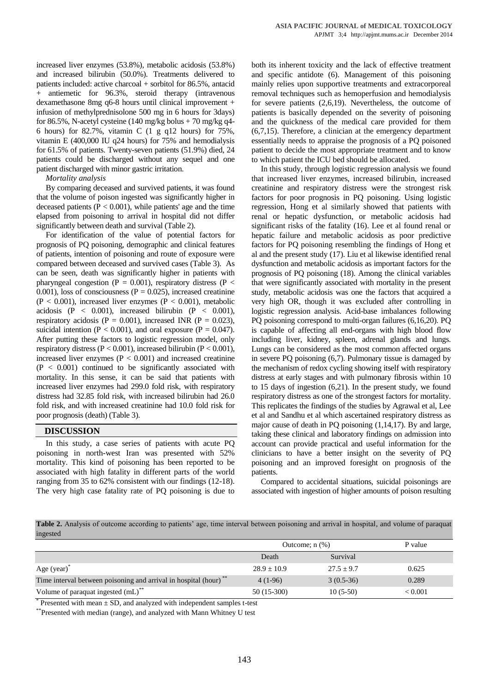increased liver enzymes (53.8%), metabolic acidosis (53.8%) and increased bilirubin (50.0%). Treatments delivered to patients included: active charcoal + sorbitol for 86.5%, antacid + antiemetic for 96.3%, steroid therapy (intravenous dexamethasone 8mg q6-8 hours until clinical improvement + infusion of methylprednisolone 500 mg in 6 hours for 3days) for 86.5%, N-acetyl cysteine (140 mg/kg bolus + 70 mg/kg q4- 6 hours) for 82.7%, vitamin C (1 g q12 hours) for 75%, vitamin E (400,000 IU q24 hours) for 75% and hemodialysis for 61.5% of patients. Twenty-seven patients (51.9%) died, 24 patients could be discharged without any sequel and one patient discharged with minor gastric irritation.

#### *Mortality analysis*

By comparing deceased and survived patients, it was found that the volume of poison ingested was significantly higher in deceased patients ( $P < 0.001$ ), while patients' age and the time elapsed from poisoning to arrival in hospital did not differ significantly between death and survival (Table 2).

For identification of the value of potential factors for prognosis of PQ poisoning, demographic and clinical features of patients, intention of poisoning and route of exposure were compared between deceased and survived cases (Table 3). As can be seen, death was significantly higher in patients with pharyngeal congestion (P = 0.001), respiratory distress (P < 0.001), loss of consciousness ( $P = 0.025$ ), increased creatinine  $(P < 0.001)$ , increased liver enzymes  $(P < 0.001)$ , metabolic acidosis (P < 0.001), increased bilirubin (P < 0.001), respiratory acidosis ( $P = 0.001$ ), increased INR ( $P = 0.023$ ), suicidal intention ( $P < 0.001$ ), and oral exposure ( $P = 0.047$ ). After putting these factors to logistic regression model, only respiratory distress ( $P < 0.001$ ), increased bilirubin ( $P < 0.001$ ), increased liver enzymes  $(P < 0.001)$  and increased creatinine (P < 0.001) continued to be significantly associated with mortality. In this sense, it can be said that patients with increased liver enzymes had 299.0 fold risk, with respiratory distress had 32.85 fold risk, with increased bilirubin had 26.0 fold risk, and with increased creatinine had 10.0 fold risk for poor prognosis (death) (Table 3).

#### **DISCUSSION**

In this study, a case series of patients with acute PQ poisoning in north-west Iran was presented with 52% mortality. This kind of poisoning has been reported to be associated with high fatality in different parts of the world ranging from 35 to 62% consistent with our findings (12-18). The very high case fatality rate of PQ poisoning is due to both its inherent toxicity and the lack of effective treatment and specific antidote (6). Management of this poisoning mainly relies upon supportive treatments and extracorporeal removal techniques such as hemoperfusion and hemodialysis for severe patients (2,6,19). Nevertheless, the outcome of patients is basically depended on the severity of poisoning and the quickness of the medical care provided for them (6,7,15). Therefore, a clinician at the emergency department essentially needs to appraise the prognosis of a PQ poisoned patient to decide the most appropriate treatment and to know to which patient the ICU bed should be allocated.

In this study, through logistic regression analysis we found that increased liver enzymes, increased bilirubin, increased creatinine and respiratory distress were the strongest risk factors for poor prognosis in PQ poisoning. Using logistic regression, Hong et al similarly showed that patients with renal or hepatic dysfunction, or metabolic acidosis had significant risks of the fatality (16). Lee et al found renal or hepatic failure and metabolic acidosis as poor predictive factors for PQ poisoning resembling the findings of Hong et al and the present study (17). Liu et al likewise identified renal dysfunction and metabolic acidosis as important factors for the prognosis of PQ poisoning (18). Among the clinical variables that were significantly associated with mortality in the present study, metabolic acidosis was one the factors that acquired a very high OR, though it was excluded after controlling in logistic regression analysis. Acid-base imbalances following PQ poisoning correspond to multi-organ failures (6,16,20). PQ is capable of affecting all end-organs with high blood flow including liver, kidney, spleen, adrenal glands and lungs. Lungs can be considered as the most common affected organs in severe PQ poisoning (6,7). Pulmonary tissue is damaged by the mechanism of redox cycling showing itself with respiratory distress at early stages and with pulmonary fibrosis within 10 to 15 days of ingestion (6,21). In the present study, we found respiratory distress as one of the strongest factors for mortality. This replicates the findings of the studies by Agrawal et al, Lee et al and Sandhu et al which ascertained respiratory distress as major cause of death in PQ poisoning (1,14,17). By and large, taking these clinical and laboratory findings on admission into account can provide practical and useful information for the clinicians to have a better insight on the severity of PQ poisoning and an improved foresight on prognosis of the patients.

Compared to accidental situations, suicidal poisonings are associated with ingestion of higher amounts of poison resulting

**Table 2.** Analysis of outcome according to patients' age, time interval between poisoning and arrival in hospital, and volume of paraquat ingested

|                                                                              | Outcome; $n$ $(\%)$ |              | P value |
|------------------------------------------------------------------------------|---------------------|--------------|---------|
|                                                                              | Death               | Survival     |         |
| Age $(year)^{\dagger}$                                                       | $28.9 \pm 10.9$     | $27.5 + 9.7$ | 0.625   |
| Time interval between poisoning and arrival in hospital (hour) <sup>**</sup> | $4(1-96)$           | $3(0.5-36)$  | 0.289   |
| Volume of paraquat ingested (mL) <sup>**</sup>                               | $50(15-300)$        | $10(5-50)$   | < 0.001 |

\* Presented with mean ± SD, and analyzed with independent samples t-test

\*\*Presented with median (range), and analyzed with Mann Whitney U test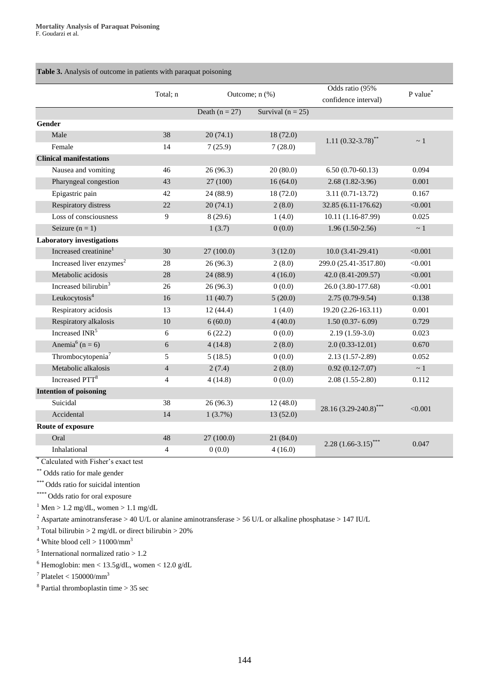# **Table 3.** Analysis of outcome in patients with paraquat poisoning

|                                      | Total; n       | Outcome; n (%)   |                       | Odds ratio (95%<br>confidence interval) | P value <sup>*</sup> |
|--------------------------------------|----------------|------------------|-----------------------|-----------------------------------------|----------------------|
|                                      |                | Death $(n = 27)$ | Survival ( $n = 25$ ) |                                         |                      |
| Gender                               |                |                  |                       |                                         |                      |
| Male                                 | 38             | 20(74.1)         | 18(72.0)              | 1.11 $(0.32 - 3.78)^{**}$               | $\sim$ 1             |
| Female                               | 14             | 7(25.9)          | 7(28.0)               |                                         |                      |
| <b>Clinical manifestations</b>       |                |                  |                       |                                         |                      |
| Nausea and vomiting                  | 46             | 26(96.3)         | 20(80.0)              | $6.50(0.70-60.13)$                      | 0.094                |
| Pharyngeal congestion                | 43             | 27 (100)         | 16(64.0)              | $2.68(1.82-3.96)$                       | 0.001                |
| Epigastric pain                      | 42             | 24 (88.9)        | 18(72.0)              | 3.11 (0.71-13.72)                       | 0.167                |
| Respiratory distress                 | 22             | 20(74.1)         | 2(8.0)                | 32.85 (6.11-176.62)                     | < 0.001              |
| Loss of consciousness                | 9              | 8(29.6)          | 1(4.0)                | 10.11 (1.16-87.99)                      | 0.025                |
| Seizure $(n = 1)$                    |                | 1(3.7)           | 0(0.0)                | $1.96(1.50-2.56)$                       | $\sim$ 1             |
| <b>Laboratory investigations</b>     |                |                  |                       |                                         |                      |
| Increased creatinine <sup>1</sup>    | 30             | 27 (100.0)       | 3(12.0)               | $10.0(3.41-29.41)$                      | < 0.001              |
| Increased liver enzymes <sup>2</sup> | 28             | 26(96.3)         | 2(8.0)                | 299.0 (25.41-3517.80)                   | < 0.001              |
| Metabolic acidosis                   | 28             | 24 (88.9)        | 4(16.0)               | 42.0 (8.41-209.57)                      | < 0.001              |
| Increased bilirubin <sup>3</sup>     | 26             | 26(96.3)         | 0(0.0)                | 26.0 (3.80-177.68)                      | < 0.001              |
| Leukocytosis <sup>4</sup>            | 16             | 11(40.7)         | 5(20.0)               | $2.75(0.79-9.54)$                       | 0.138                |
| Respiratory acidosis                 | 13             | 12(44.4)         | 1(4.0)                | $19.20(2.26-163.11)$                    | 0.001                |
| Respiratory alkalosis                | 10             | 6(60.0)          | 4(40.0)               | $1.50(0.37 - 6.09)$                     | 0.729                |
| Increased INR <sup>5</sup>           | 6              | 6(22.2)          | 0(0.0)                | $2.19(1.59-3.0)$                        | 0.023                |
| Anemia <sup>6</sup> (n = 6)          | 6              | 4(14.8)          | 2(8.0)                | $2.0(0.33-12.01)$                       | 0.670                |
| Thrombocytopenia <sup>7</sup>        | 5              | 5(18.5)          | 0(0.0)                | $2.13(1.57-2.89)$                       | 0.052                |
| Metabolic alkalosis                  | $\overline{4}$ | 2(7.4)           | 2(8.0)                | $0.92(0.12-7.07)$                       | $\sim$ 1             |
| Increased PTT <sup>8</sup>           | $\overline{4}$ | 4(14.8)          | 0(0.0)                | $2.08(1.55-2.80)$                       | 0.112                |
| <b>Intention of poisoning</b>        |                |                  |                       |                                         |                      |
| Suicidal                             | 38             | 26(96.3)         | 12(48.0)              | $28.16(3.29-240.8)$ ***                 | < 0.001              |
| Accidental                           | 14             | 1(3.7%)          | 13(52.0)              |                                         |                      |
| Route of exposure                    |                |                  |                       |                                         |                      |
| Oral                                 | 48             | 27 (100.0)       | 21(84.0)              | $2.28(1.66-3.15)$                       | 0.047                |
| Inhalational                         | $\overline{4}$ | 0(0.0)           | 4(16.0)               |                                         |                      |

Calculated with Fisher's exact test

\*\* Odds ratio for male gender

\*\*\* Odds ratio for suicidal intention

\*\*\*\*\* Odds ratio for oral exposure

 $1$  Men > 1.2 mg/dL, women > 1.1 mg/dL

<sup>2</sup> Aspartate aminotransferase > 40 U/L or alanine aminotransferase > 56 U/L or alkaline phosphatase > 147 IU/L

<sup>3</sup> Total bilirubin > 2 mg/dL or direct bilirubin > 20%

 $4$  White blood cell  $> 11000/nm<sup>3</sup>$ 

 $<sup>5</sup>$  International normalized ratio  $>1.2$ </sup>

 $<sup>6</sup>$  Hemoglobin: men < 13.5g/dL, women < 12.0 g/dL</sup>

 $<sup>7</sup>$  Platelet < 150000/mm<sup>3</sup></sup>

 $8$  Partial thromboplastin time  $> 35$  sec